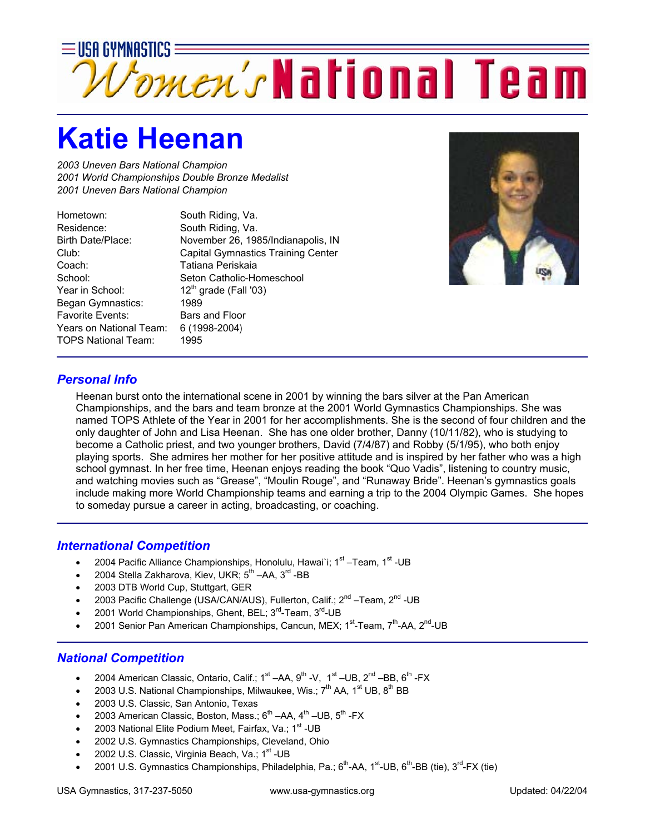

## **Katie Heenan**

*2003 Uneven Bars National Champion 2001 World Championships Double Bronze Medalist 2001 Uneven Bars National Champion* 

Hometown: South Riding, Va. Residence: South Riding, Va. Birth Date/Place: November 26, 1985/Indianapolis, IN Club: Capital Gymnastics Training Center Coach: Tatiana Periskaia School: Seton Catholic-Homeschool Year in School:  $12<sup>th</sup>$  grade (Fall '03) Began Gymnastics: 1989 Favorite Events: Bars and Floor Years on National Team: 6 (1998-2004) TOPS National Team: 1995



## *Personal Info*

Heenan burst onto the international scene in 2001 by winning the bars silver at the Pan American Championships, and the bars and team bronze at the 2001 World Gymnastics Championships. She was named TOPS Athlete of the Year in 2001 for her accomplishments. She is the second of four children and the only daughter of John and Lisa Heenan. She has one older brother, Danny (10/11/82), who is studying to become a Catholic priest, and two younger brothers, David (7/4/87) and Robby (5/1/95), who both enjoy playing sports. She admires her mother for her positive attitude and is inspired by her father who was a high school gymnast. In her free time, Heenan enjoys reading the book "Quo Vadis", listening to country music, and watching movies such as "Grease", "Moulin Rouge", and "Runaway Bride". Heenan's gymnastics goals include making more World Championship teams and earning a trip to the 2004 Olympic Games. She hopes to someday pursue a career in acting, broadcasting, or coaching.

## *International Competition*

- 2004 Pacific Alliance Championships, Honolulu, Hawai`i;  $1<sup>st</sup> Team$ ,  $1<sup>st</sup> UB$
- 2004 Stella Zakharova, Kiev, UKR; 5<sup>th</sup> –AA, 3<sup>rd</sup> -BB
- 2003 DTB World Cup, Stuttgart, GER
- 2003 Pacific Challenge (USA/CAN/AUS), Fullerton, Calif.; 2<sup>nd</sup> –Team, 2<sup>nd</sup> -UB
- 2001 World Championships, Ghent, BEL; 3<sup>rd</sup>-Team, 3<sup>rd</sup>-UB
- 2001 Senior Pan American Championships, Cancun, MEX; 1<sup>st</sup>-Team, 7<sup>th</sup>-AA, 2<sup>nd</sup>-UB

## *National Competition*

- 2004 American Classic, Ontario, Calif.;  $1^{st}$  –AA,  $9^{th}$  -V,  $1^{st}$  –UB,  $2^{nd}$  –BB,  $6^{th}$  -FX
- 2003 U.S. National Championships, Milwaukee, Wis.;  $7<sup>th</sup>$  AA,  $1<sup>st</sup>$  UB,  $8<sup>th</sup>$  BB
- 2003 U.S. Classic, San Antonio, Texas
- 2003 American Classic, Boston, Mass.;  $6^{th}$  –AA,  $4^{th}$  –UB,  $5^{th}$  -FX
- 2003 National Elite Podium Meet, Fairfax, Va.; 1<sup>st</sup> -UB
- 2002 U.S. Gymnastics Championships, Cleveland, Ohio
- 2002 U.S. Classic, Virginia Beach, Va.; 1<sup>st</sup> -UB
- 2001 U.S. Gymnastics Championships, Philadelphia, Pa.; 6<sup>th</sup>-AA, 1<sup>st</sup>-UB, 6<sup>th</sup>-BB (tie), 3<sup>rd</sup>-FX (tie)